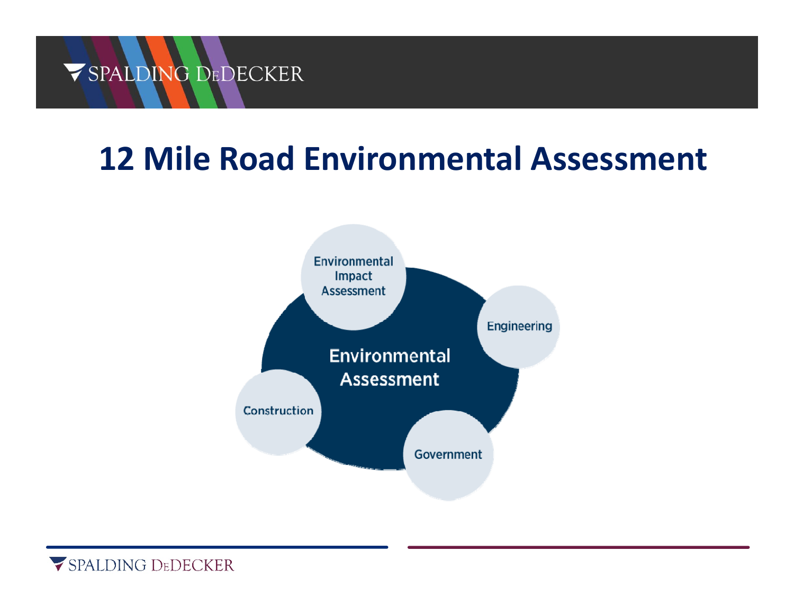# **12 Mile Road Environmental Assessment**



SPALDING DEDECKER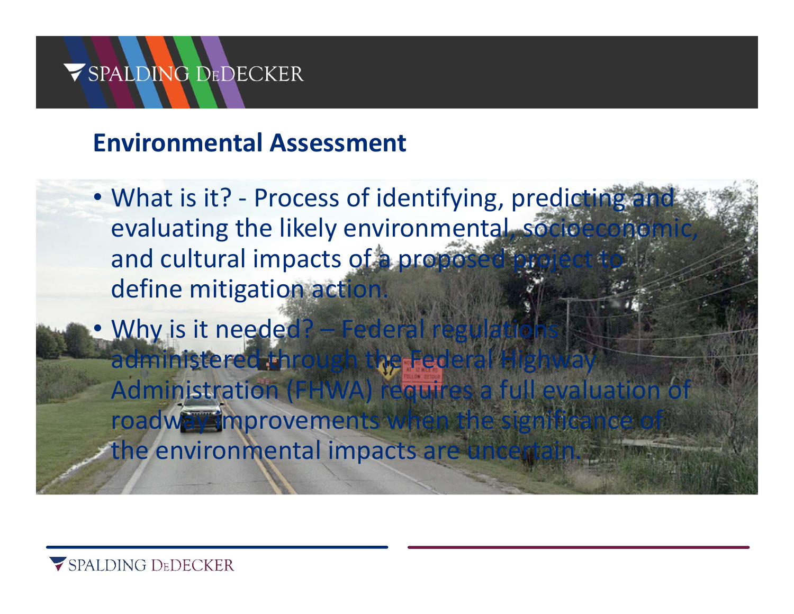#### **Environmental Assessment**

- What is it? Process of identifying, predicting and evaluating the likely environmental, socioecono and cultural impacts of a proposed define mitigation action
- •Why is it needed? - Federal regulations administered through the Fed Administration (FHWA) requires a full evaluation roadway improvements when the the environmental impacts are uncertain

SPALDING DEDECKER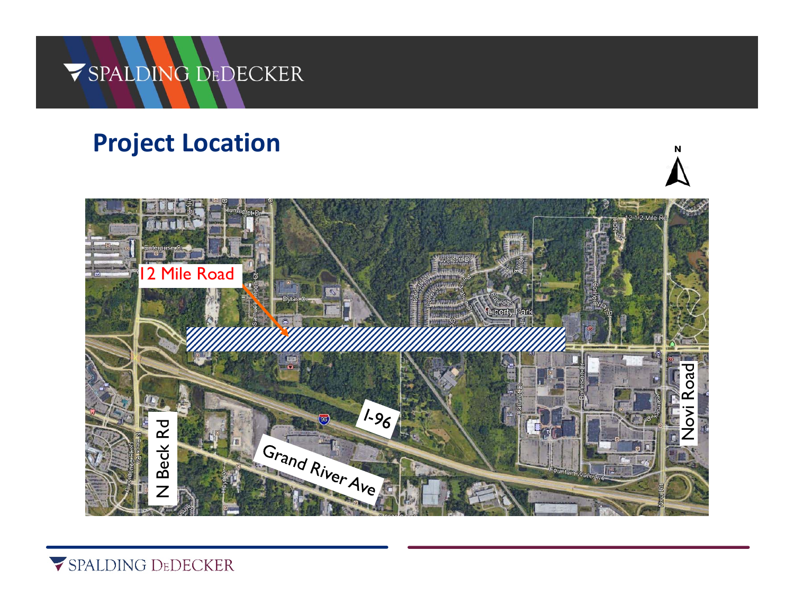### **Project Location**



SPALDING DEDECKER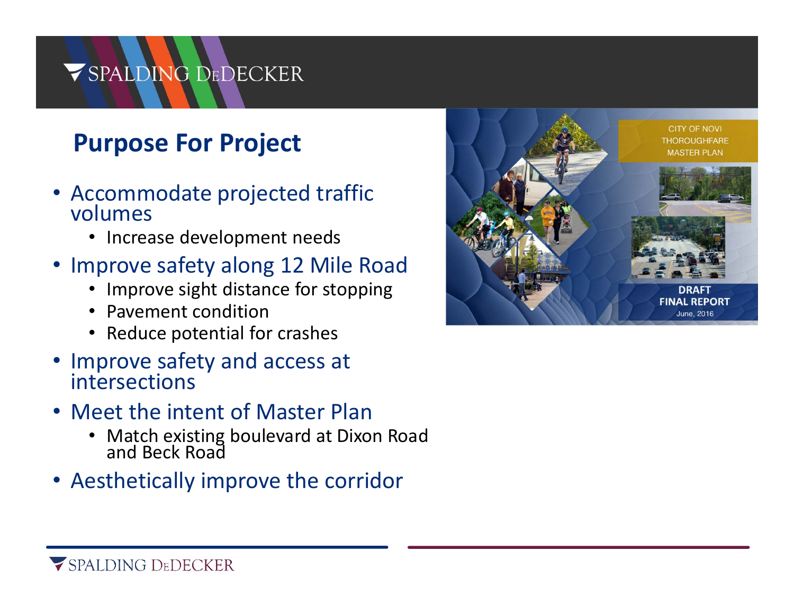### **Purpose For Project**

- Accommodate projected traffic volumes
	- Increase development needs
- Improve safety along 12 Mile Road
	- Improve sight distance for stopping
	- Pavement condition
	- Reduce potential for crashes
- Improve safety and access at intersections
- Meet the intent of Master Plan
	- Match existing boulevard at Dixon Road and Beck Road
- Aesthetically improve the corridor

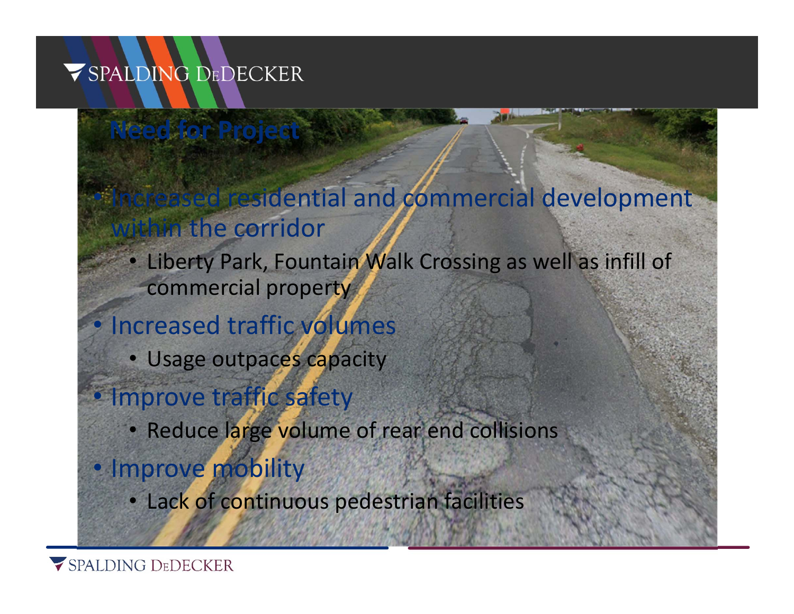**Need for Project**

## Increased residential and commercial development within the corridor

• Liberty Park, Fountain Walk Crossing as well as infill of commercial property

#### Increased traffic volumes

• Usage outpaces capacity

#### · Improve traffic safety

• Reduce large volume of rear end collisions

#### • Improve mobility

• Lack of continuous pedestrian facilities

SPALDING DEDECKER

 $\bullet$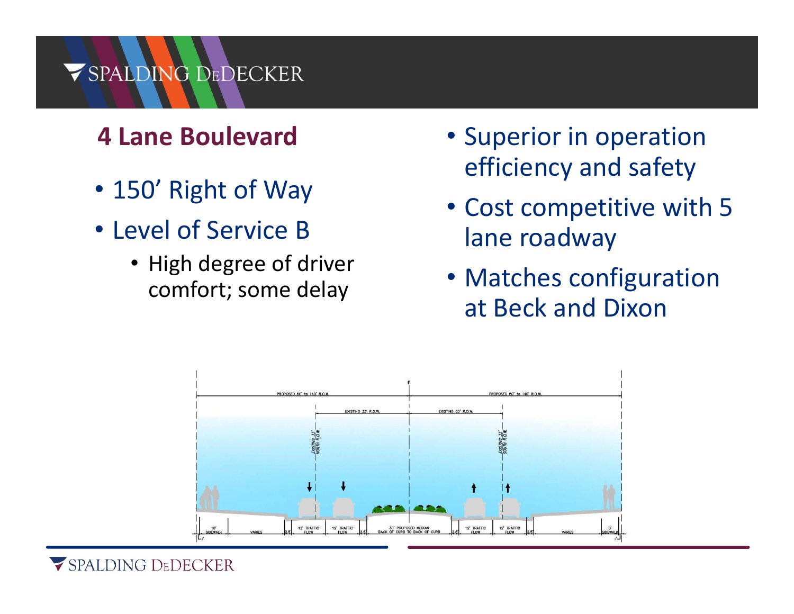## **4 Lane Boulevard**

- 150' Right of Way
- Level of Service B
	- High degree of driver comfort; some delay
- Superior in operation efficiency and safety
- Cost competitive with 5 lane roadway
- Matches configuration at Beck and Dixon

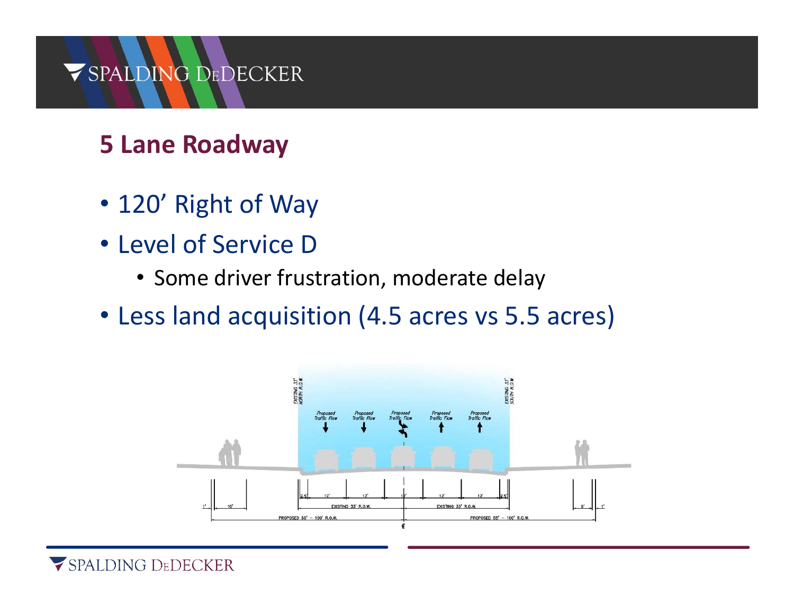## **5 Lane Roadway**

- 120' Right of Way
- Level of Service D
	- Some driver frustration, moderate delay
- Less land acquisition (4.5 acres vs 5.5 acres)